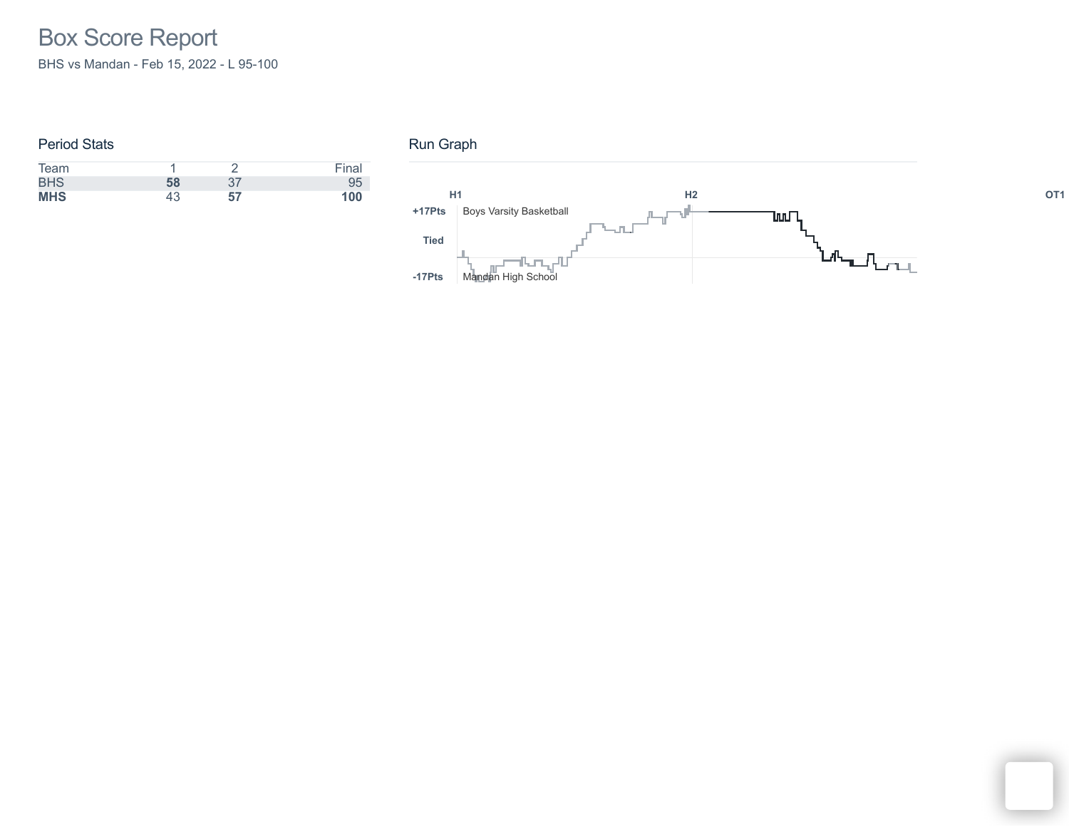### Period Stats

| Team       |    |    | Final |
|------------|----|----|-------|
| <b>BHS</b> | 58 | 37 | 95    |
| <b>MHS</b> | 43 | 57 | 100   |

# Run Graph

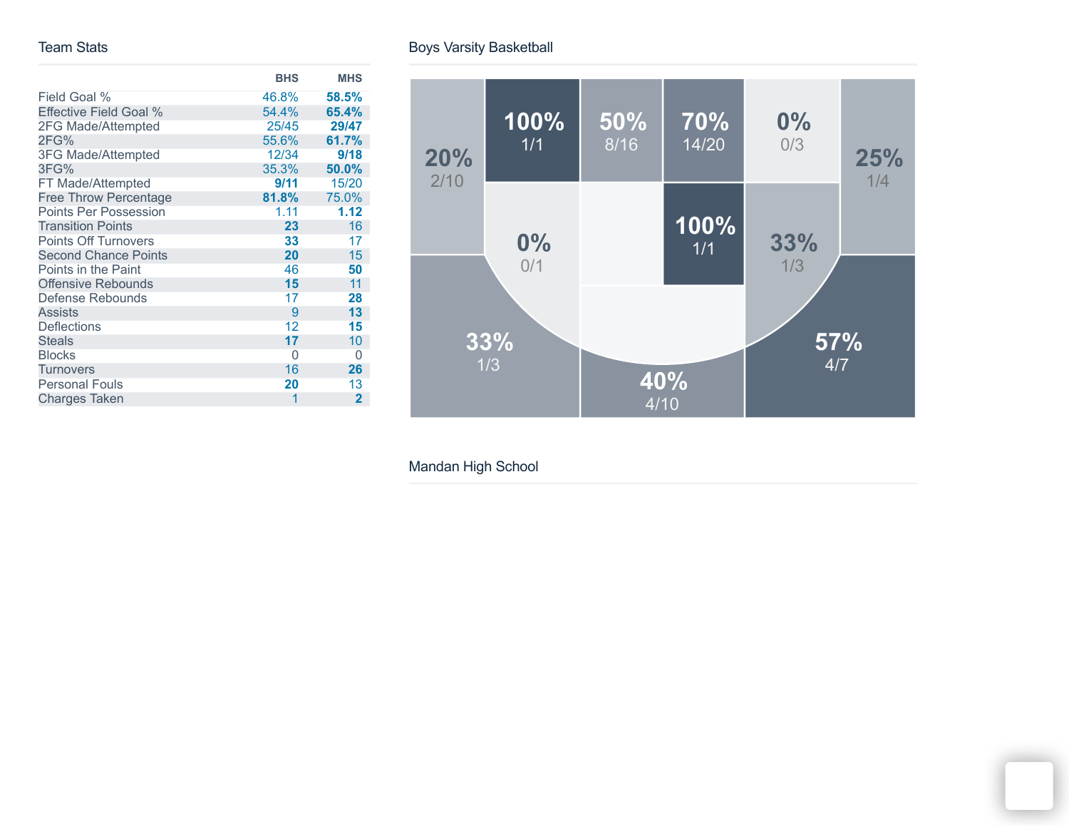#### Team Stats

|                               | <b>BHS</b> | <b>MHS</b>     |
|-------------------------------|------------|----------------|
| Field Goal %                  | 46.8%      | 58.5%          |
| <b>Effective Field Goal %</b> | 54.4%      | 65.4%          |
| 2FG Made/Attempted            | 25/45      | 29/47          |
| 2FG%                          | 55.6%      | 61.7%          |
| 3FG Made/Attempted            | 12/34      | 9/18           |
| 3FG%                          | 35.3%      | 50.0%          |
| FT Made/Attempted             | 9/11       | 15/20          |
| <b>Free Throw Percentage</b>  | 81.8%      | 75.0%          |
| <b>Points Per Possession</b>  | 1.11       | 1.12           |
| <b>Transition Points</b>      | 23         | 16             |
| <b>Points Off Turnovers</b>   | 33         | 17             |
| <b>Second Chance Points</b>   | 20         | 15             |
| Points in the Paint           | 46         | 50             |
| <b>Offensive Rebounds</b>     | 15         | 11             |
| Defense Rebounds              | 17         | 28             |
| <b>Assists</b>                | 9          | 13             |
| <b>Deflections</b>            | 12         | 15             |
| <b>Steals</b>                 | 17         | 10             |
| <b>Blocks</b>                 | 0          | 0              |
| <b>Turnovers</b>              | 16         | 26             |
| <b>Personal Fouls</b>         | 20         | 13             |
| <b>Charges Taken</b>          | 1          | $\overline{2}$ |

Boys Varsity Basketball



Mandan High School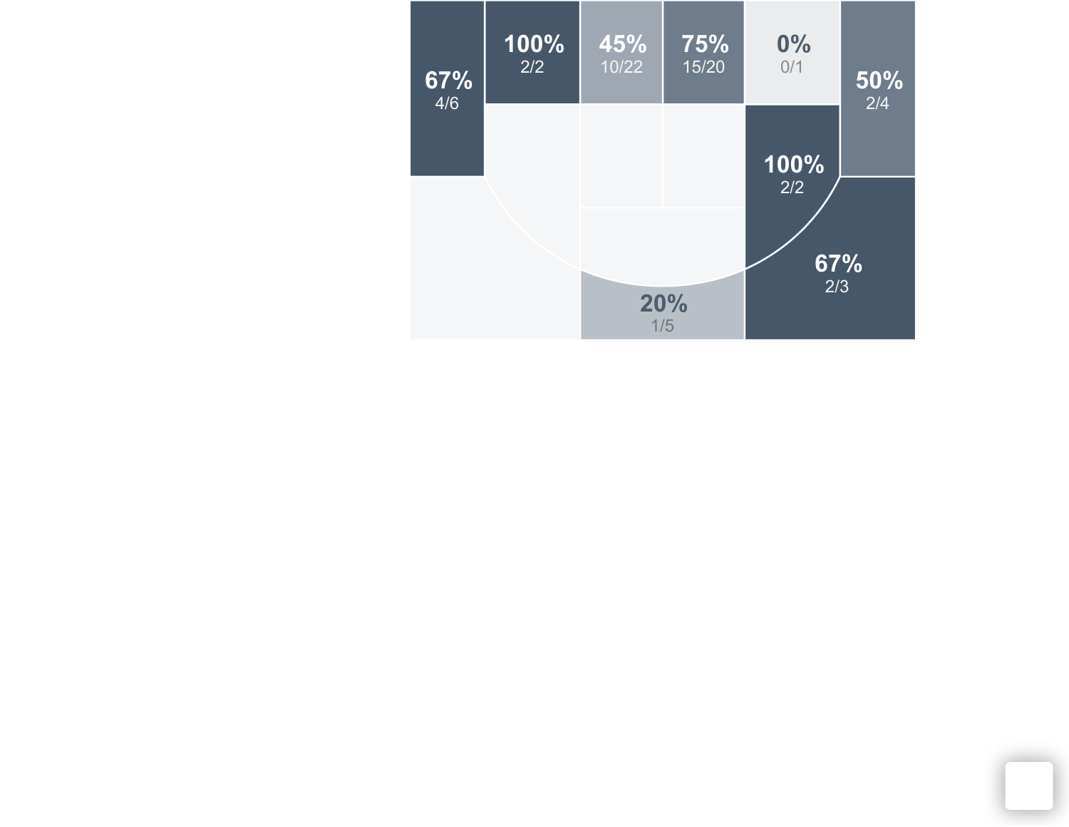| 67%<br>4/6 | 100%<br>2/2 | 45%<br>10/22 | 75%<br>15/20 | 0%<br>0/1                 | $\overline{50\%}$<br>2/4 |
|------------|-------------|--------------|--------------|---------------------------|--------------------------|
|            |             |              |              | 100%<br>2/2<br>67%<br>2/3 |                          |
|            |             |              | 20%<br>1/5   |                           |                          |

- 1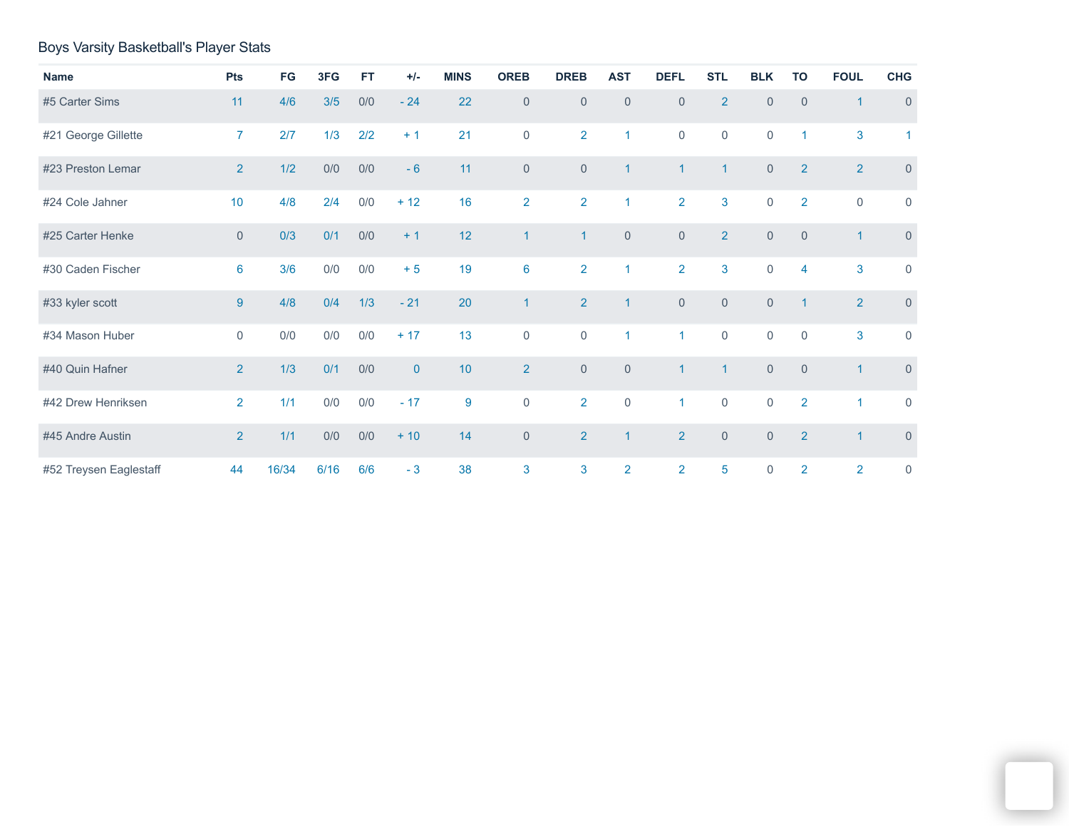## Boys Varsity Basketball's Player Stats

| <b>Name</b>            | Pts             | FG    | 3FG  | <b>FT</b> | $+/-$       | <b>MINS</b> | <b>OREB</b>         | <b>DREB</b>         | <b>AST</b>     | <b>DEFL</b>         | <b>STL</b>          | <b>BLK</b>          | <b>TO</b>      | <b>FOUL</b>             | <b>CHG</b>           |
|------------------------|-----------------|-------|------|-----------|-------------|-------------|---------------------|---------------------|----------------|---------------------|---------------------|---------------------|----------------|-------------------------|----------------------|
| #5 Carter Sims         | 11              | 4/6   | 3/5  | 0/0       | $-24$       | 22          | $\mathbf{0}$        | $\mathbf{0}$        | $\mathbf 0$    | $\mathbf{0}$        | $\overline{2}$      | $\overline{0}$      | $\overline{0}$ | $\overline{1}$          | $\mathbf{0}$         |
| #21 George Gillette    | $\overline{7}$  | 2/7   | 1/3  | 2/2       | $+1$        | 21          | $\mathsf{O}\xspace$ | $\overline{2}$      | $\mathbf{1}$   | $\mathsf{O}\xspace$ | $\mathbf 0$         | $\mathsf{O}\xspace$ | $\mathbf{1}$   | 3                       | $\blacktriangleleft$ |
| #23 Preston Lemar      | 2               | 1/2   | 0/0  | 0/0       | $-6$        | 11          | $\mathbf{0}$        | $\mathsf{O}\xspace$ | $\mathbf{1}$   | $\overline{1}$      | $\mathbf{1}$        | $\mathsf{O}\xspace$ | 2              | 2 <sup>1</sup>          | $\overline{0}$       |
| #24 Cole Jahner        | 10              | 4/8   | 2/4  | 0/0       | $+12$       | 16          | $\overline{2}$      | $\overline{2}$      | $\mathbf{1}$   | $\overline{2}$      | 3                   | $\mathbf 0$         | $\overline{2}$ | $\mathbf 0$             | $\mathbf 0$          |
| #25 Carter Henke       | $\mathbf{0}$    | 0/3   | 0/1  | 0/0       | $+1$        | 12          | $\mathbf{1}$        | $\mathbf{1}$        | $\overline{0}$ | $\mathsf{O}\xspace$ | $\overline{2}$      | $\mathsf{O}\xspace$ | $\overline{0}$ | $\overline{1}$          | $\overline{0}$       |
| #30 Caden Fischer      | $6\phantom{1}6$ | 3/6   | 0/0  | 0/0       | $+5$        | 19          | $6\phantom{a}$      | $\overline{2}$      | $\mathbf{1}$   | $\overline{2}$      | $\overline{3}$      | $\mathbf 0$         | 4              | 3                       | $\mathbf 0$          |
| #33 kyler scott        | $9$             | 4/8   | 0/4  | 1/3       | $-21$       | 20          | $\mathbf{1}$        | $\overline{2}$      | $\mathbf{1}$   | $\mathsf{O}\xspace$ | $\mathsf{O}\xspace$ | $\mathsf{O}\xspace$ | $\overline{1}$ | 2 <sup>1</sup>          | $\mathsf{O}\xspace$  |
| #34 Mason Huber        | $\mathbf 0$     | $0/0$ | 0/0  | $0/0$     | $+17$       | 13          | $\mathsf{O}\xspace$ | $\mathbf 0$         | $\mathbf{1}$   | $\overline{1}$      | $\mathsf 0$         | $\mathbf 0$         | $\Omega$       | 3                       | $\mathbf 0$          |
| #40 Quin Hafner        | $\overline{2}$  | 1/3   | 0/1  | 0/0       | $\mathbf 0$ | 10          | $\overline{2}$      | $\mathsf{O}\xspace$ | $\overline{0}$ | $\overline{1}$      | $\mathbf{1}$        | $\overline{0}$      | $\Omega$       | $\blacktriangleleft$    | $\overline{0}$       |
| #42 Drew Henriksen     | $\overline{2}$  | 1/1   | 0/0  | 0/0       | $-17$       | 9           | $\mathsf{O}\xspace$ | $\overline{2}$      | $\mathbf{0}$   | $\mathbf{1}$        | $\overline{0}$      | $\mathbf 0$         | $\overline{2}$ | $\blacktriangleleft$    | $\mathbf 0$          |
| #45 Andre Austin       | 2               | 1/1   | 0/0  | 0/0       | $+10$       | 14          | $\mathsf{O}\xspace$ | $\overline{2}$      | $\mathbf{1}$   | $\overline{2}$      | $\overline{0}$      | $\overline{0}$      | $\overline{2}$ | $\overline{\mathbf{1}}$ | $\mathsf{O}\xspace$  |
| #52 Treysen Eaglestaff | 44              | 16/34 | 6/16 | 6/6       | $-3$        | 38          | 3                   | 3                   | $\overline{2}$ | $\overline{2}$      | 5                   | $\mathsf{O}\xspace$ | $\overline{2}$ | $\overline{2}$          | $\mathsf{O}\xspace$  |